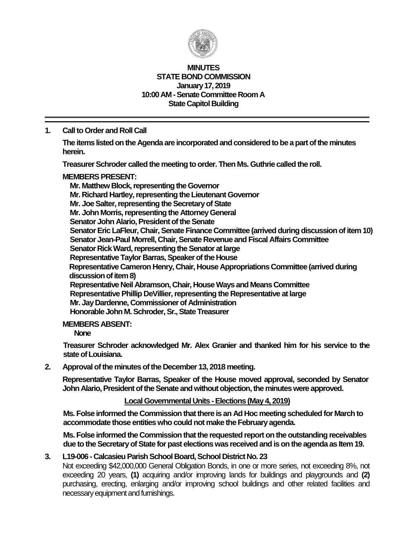

#### **MINUTES STATE BOND COMMISSION January 17, 2019 10:00 AM - Senate Committee Room A State Capitol Building**

# **1. Call to Order and Roll Call**

**The items listed on the Agenda are incorporated and considered to be a part of the minutes herein.**

**Treasurer Schroder called the meeting to order. Then Ms. Guthrie called the roll.**

## **MEMBERS PRESENT:**

**Mr. Matthew Block, representing the Governor Mr. Richard Hartley, representing the Lieutenant Governor Mr. Joe Salter, representing the Secretary of State Mr. John Morris, representing the Attorney General Senator John Alario, President of the Senate Senator Eric LaFleur, Chair, Senate Finance Committee (arrived during discussion of item 10) Senator Jean-Paul Morrell, Chair, Senate Revenue and Fiscal Affairs Committee Senator Rick Ward, representing the Senator at large Representative Taylor Barras, Speaker of the House Representative Cameron Henry, Chair, House Appropriations Committee (arrived during discussion of item 8) Representative Neil Abramson, Chair, House Ways and Means Committee Representative Phillip DeVillier, representing the Representative at large Mr. Jay Dardenne, Commissioner of Administration Honorable John M. Schroder, Sr., State Treasurer**

### **MEMBERS ABSENT:**

**None**

**Treasurer Schroder acknowledged Mr. Alex Granier and thanked him for his service to the state of Louisiana.**

## **2. Approval of the minutes of the December 13, 2018 meeting.**

**Representative Taylor Barras, Speaker of the House moved approval, seconded by Senator John Alario, President of the Senate andwithout objection, the minutes were approved.**

### **Local Governmental Units - Elections (May 4, 2019)**

**Ms. Folse informed the Commission that there is an Ad Hoc meeting scheduled for March to accommodate those entities who could not make the February agenda.**

**Ms. Folse informed the Commission that the requested report on the outstanding receivables due to the Secretary of State for past elections was received and is on the agenda as Item 19.** 

## **3. L19-006 - Calcasieu Parish School Board, School District No. 23**

Not exceeding \$42,000,000 General Obligation Bonds, in one or more series, not exceeding 8%, not exceeding 20 years, **(1)** acquiring and/or improving lands for buildings and playgrounds and **(2)** purchasing, erecting, enlarging and/or improving school buildings and other related facilities and necessary equipment and furnishings.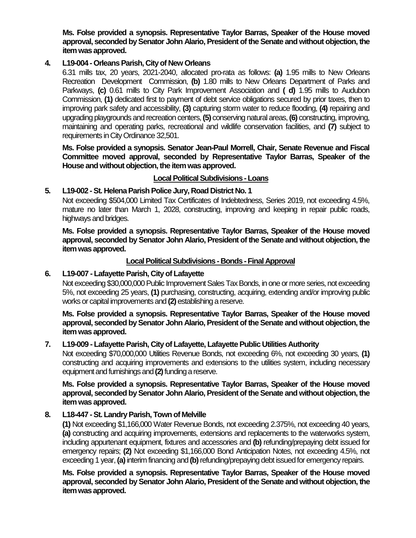**Ms. Folse provided a synopsis. Representative Taylor Barras, Speaker of the House moved approval, seconded by Senator John Alario, President of the Senate and without objection, the item was approved.**

### **4. L19-004 - Orleans Parish, City of New Orleans**

6.31 mills tax, 20 years, 2021-2040, allocated pro-rata as follows: **(a)** 1.95 mills to New Orleans Recreation Development Commission, **(b)** 1.80 mills to New Orleans Department of Parks and Parkways, **(c)** 0.61 mills to City Park Improvement Association and **( d)** 1.95 mills to Audubon Commission, **(1)** dedicated first to payment of debt service obligations secured by prior taxes, then to improving park safety and accessibility, **(3)** capturing storm water to reduce flooding, **(4)** repairing and upgrading playgrounds and recreation centers, **(5)** conserving natural areas, **(6)** constructing, improving, maintaining and operating parks, recreational and wildlife conservation facilities, and **(7)** subject to requirements in City Ordinance 32,501.

**Ms. Folse provided a synopsis. Senator Jean-Paul Morrell, Chair, Senate Revenue and Fiscal Committee moved approval, seconded by Representative Taylor Barras, Speaker of the House and without objection, the item was approved.**

**Local Political Subdivisions -Loans**

## **5. L19-002 -St. Helena Parish Police Jury, Road District No. 1**

Not exceeding \$504,000 Limited Tax Certificates of Indebtedness, Series 2019, not exceeding 4.5%, mature no later than March 1, 2028, constructing, improving and keeping in repair public roads, highways and bridges.

**Ms. Folse provided a synopsis. Representative Taylor Barras, Speaker of the House moved approval, seconded by Senator John Alario, President of the Senate and without objection, the item was approved.**

### **Local Political Subdivisions - Bonds -Final Approval**

## **6. L19-007 - Lafayette Parish, City of Lafayette**

Not exceeding \$30,000,000 Public Improvement Sales Tax Bonds, in one or more series, not exceeding 5%, not exceeding 25 years, **(1)** purchasing, constructing, acquiring, extending and/or improving public works or capital improvements and **(2)** establishing a reserve.

**Ms. Folse provided a synopsis. Representative Taylor Barras, Speaker of the House moved approval, seconded by Senator John Alario, President of the Senate and without objection, the item was approved.**

## **7. L19-009 - Lafayette Parish, City of Lafayette, Lafayette Public Utilities Authority**

Not exceeding \$70,000,000 Utilities Revenue Bonds, not exceeding 6%, not exceeding 30 years, **(1)** constructing and acquiring improvements and extensions to the utilities system, including necessary equipment and furnishings and **(2)**funding a reserve.

**Ms. Folse provided a synopsis. Representative Taylor Barras, Speaker of the House moved approval, seconded by Senator John Alario, President of the Senate and without objection, the item was approved.**

### **8. L18-447 -St. Landry Parish, Town of Melville**

**(1)** Not exceeding \$1,166,000 Water Revenue Bonds, not exceeding 2.375%, not exceeding 40 years, **(a)** constructing and acquiring improvements, extensions and replacements to the waterworks system, including appurtenant equipment, fixtures and accessories and **(b)** refunding/prepaying debt issued for emergency repairs; **(2)** Not exceeding \$1,166,000 Bond Anticipation Notes, not exceeding 4.5%, not exceeding 1 year, **(a)**interim financing and **(b)**refunding/prepaying debt issued for emergency repairs.

**Ms. Folse provided a synopsis. Representative Taylor Barras, Speaker of the House moved approval, seconded by Senator John Alario, President of the Senate and without objection, the item was approved.**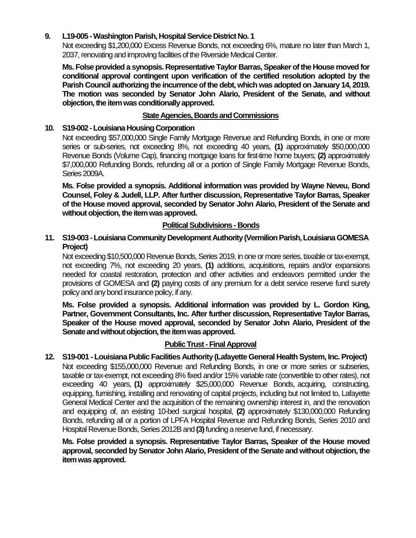## **9. L19-005 -Washington Parish, Hospital Service District No. 1**

Not exceeding \$1,200,000 Excess Revenue Bonds, not exceeding 6%, mature no later than March 1, 2037, renovating and improving facilities of the Riverside Medical Center.

**Ms. Folse provided a synopsis. Representative Taylor Barras, Speaker of the House moved for conditional approval contingent upon verification of the certified resolution adopted by the Parish Council authorizing the incurrence of the debt, which was adopted on January 14, 2019. The motion was seconded by Senator John Alario, President of the Senate, and without objection, the item was conditionally approved.**

## **State Agencies, Boards and Commissions**

### **10. S19-002 -Louisiana Housing Corporation**

Not exceeding \$57,000,000 Single Family Mortgage Revenue and Refunding Bonds, in one or more series or sub-series, not exceeding 8%, not exceeding 40 years, **(1)** approximately \$50,000,000 Revenue Bonds (Volume Cap), financing mortgage loans for first-time home buyers; **(2)** approximately \$7,000,000 Refunding Bonds, refunding all or a portion of Single Family Mortgage Revenue Bonds, Series 2009A.

**Ms. Folse provided a synopsis. Additional information was provided by Wayne Neveu, Bond Counsel, Foley & Judell, LLP. After further discussion, Representative Taylor Barras, Speaker of the House moved approval, seconded by Senator John Alario, President of the Senate and without objection, the item was approved.**

### **Political Subdivisions - Bonds**

## 11. S19-003 - Louisiana Community Development Authority (Vermilion Parish, Louisiana GOMESA **Project)**

Not exceeding \$10,500,000 Revenue Bonds, Series 2019, in one or more series, taxable or tax-exempt, not exceeding 7%, not exceeding 20 years, **(1)** additions, acquisitions, repairs and/or expansions needed for coastal restoration, protection and other activities and endeavors permitted under the provisions of GOMESA and **(2)** paying costs of any premium for a debt service reserve fund surety policy and any bond insurance policy, if any.

**Ms. Folse provided a synopsis. Additional information was provided by L. Gordon King, Partner, Government Consultants, Inc. After further discussion, Representative Taylor Barras, Speaker of the House moved approval, seconded by Senator John Alario, President of the Senate and without objection, the item was approved.**

### **Public Trust - Final Approval**

**12. S19-001 - Louisiana Public Facilities Authority (Lafayette General Health System, Inc. Project)** Not exceeding \$155,000,000 Revenue and Refunding Bonds, in one or more series or subseries, taxable or tax-exempt, not exceeding 8% fixed and/or 15% variable rate (convertible to other rates), not exceeding 40 years, **(1)** approximately \$25,000,000 Revenue Bonds, acquiring, constructing, equipping, furnishing, installing and renovating of capital projects, including but not limited to, Lafayette General Medical Center and the acquisition of the remaining ownership interest in, and the renovation and equipping of, an existing 10-bed surgical hospital, **(2)** approximately \$130,000,000 Refunding Bonds, refunding all or a portion of LPFA Hospital Revenue and Refunding Bonds, Series 2010 and Hospital Revenue Bonds, Series 2012B and **(3)**funding a reserve fund, if necessary.

**Ms. Folse provided a synopsis. Representative Taylor Barras, Speaker of the House moved approval, seconded by Senator John Alario, President of the Senate and without objection, the item was approved.**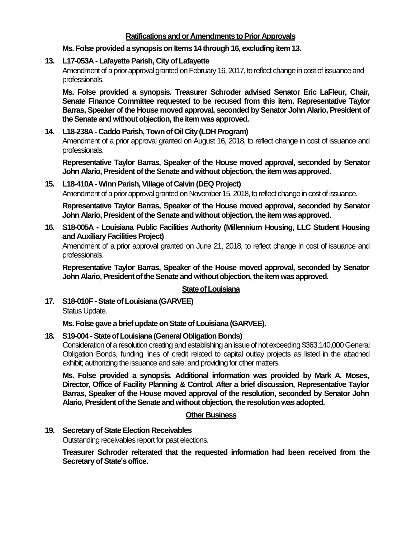### **Ratifications and or Amendments to Prior Approvals**

### **Ms. Folse provided a synopsis on Items 14 through 16, excluding item 13.**

#### **13. L17-053A - Lafayette Parish, City of Lafayette**

Amendment of a prior approval granted on February 16, 2017, to reflect change in cost of issuance and professionals.

**Ms. Folse provided a synopsis. Treasurer Schroder advised Senator Eric LaFleur, Chair, Senate Finance Committee requested to be recused from this item. Representative Taylor Barras, Speaker of the House moved approval, seconded by Senator John Alario, President of the Senate and without objection, the item was approved.**

### **14. L18-238A - Caddo Parish, Town of Oil City (LDH Program)**

Amendment of a prior approval granted on August 16, 2018, to reflect change in cost of issuance and professionals.

**Representative Taylor Barras, Speaker of the House moved approval, seconded by Senator John Alario, President of the Senate and without objection, the item was approved.**

## **15. L18-410A -Winn Parish, Village of Calvin (DEQ Project)**

Amendment of a prior approval granted on November 15, 2018, to reflect change in cost of issuance.

**Representative Taylor Barras, Speaker of the House moved approval, seconded by Senator John Alario, President of the Senate and without objection, the item was approved.**

#### **16. S18-005A - Louisiana Public Facilities Authority (Millennium Housing, LLC Student Housing and Auxiliary Facilities Project)**

Amendment of a prior approval granted on June 21, 2018, to reflect change in cost of issuance and professionals.

**Representative Taylor Barras, Speaker of the House moved approval, seconded by Senator John Alario, President of the Senate and without objection, the item was approved.**

### **State of Louisiana**

**17. S18-010F -State of Louisiana (GARVEE)** Status Update.

**Ms. Folse gave a brief update on State of Louisiana (GARVEE).**

### **18. S19-004 -State of Louisiana (General Obligation Bonds)**

Consideration of a resolution creating and establishing an issue of not exceeding \$363,140,000 General Obligation Bonds, funding lines of credit related to capital outlay projects as listed in the attached exhibit; authorizing the issuance and sale; and providing for other matters.

**Ms. Folse provided a synopsis. Additional information was provided by Mark A. Moses, Director, Office of Facility Planning & Control. After a brief discussion, Representative Taylor Barras, Speaker of the House moved approval of the resolution, seconded by Senator John Alario, President of the Senate and without objection, the resolutionwas adopted.**

#### **Other Business**

**19. Secretary of State Election Receivables**

Outstanding receivables report for past elections.

**Treasurer Schroder reiterated that the requested information had been received from the Secretary of State's office.**